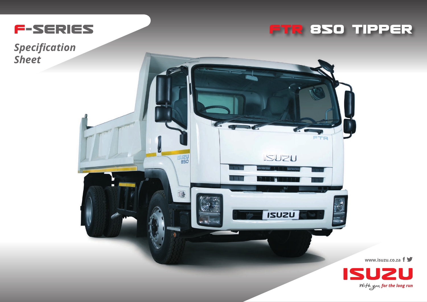

## **FTR 85O TIPPER**

*Specification Sheet*